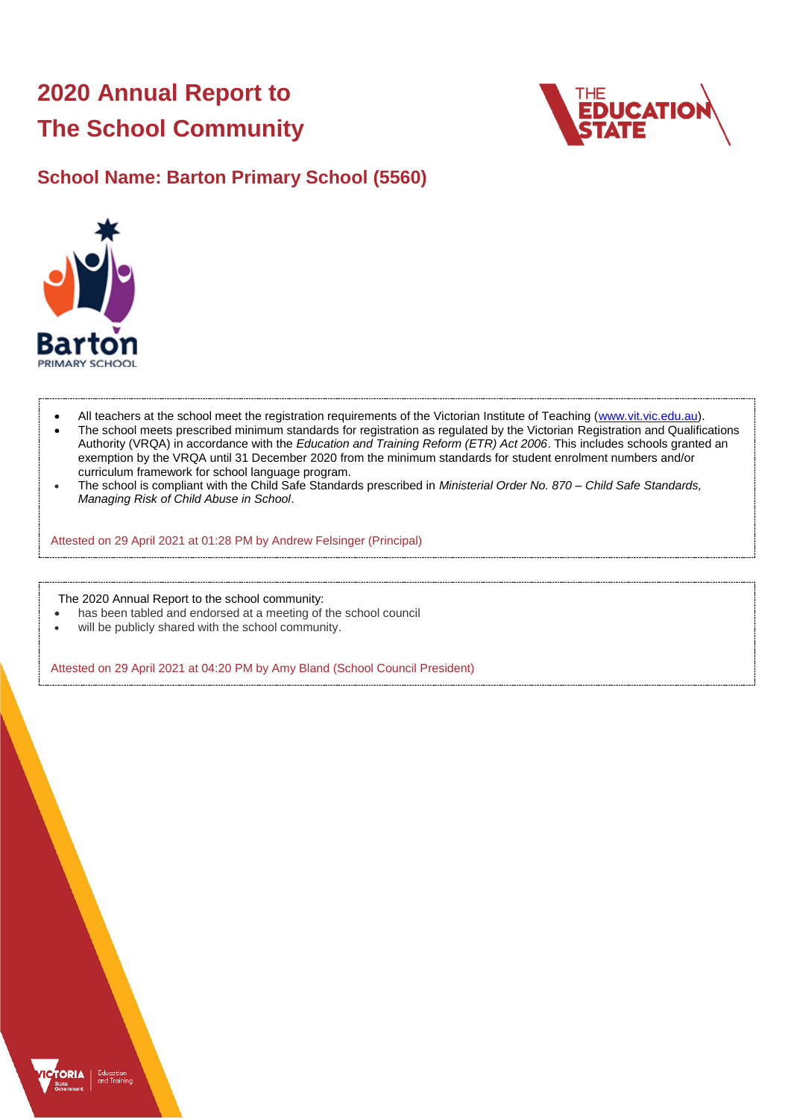# **2020 Annual Report to The School Community**



## **School Name: Barton Primary School (5560)**



- All teachers at the school meet the registration requirements of the Victorian Institute of Teaching [\(www.vit.vic.edu.au\)](https://www.vit.vic.edu.au/).
- The school meets prescribed minimum standards for registration as regulated by the Victorian Registration and Qualifications Authority (VRQA) in accordance with the *Education and Training Reform (ETR) Act 2006*. This includes schools granted an exemption by the VRQA until 31 December 2020 from the minimum standards for student enrolment numbers and/or curriculum framework for school language program.
- The school is compliant with the Child Safe Standards prescribed in *Ministerial Order No. 870 – Child Safe Standards, Managing Risk of Child Abuse in School*.

Attested on 29 April 2021 at 01:28 PM by Andrew Felsinger (Principal)

The 2020 Annual Report to the school community:

- has been tabled and endorsed at a meeting of the school council
- will be publicly shared with the school community.

Attested on 29 April 2021 at 04:20 PM by Amy Bland (School Council President)

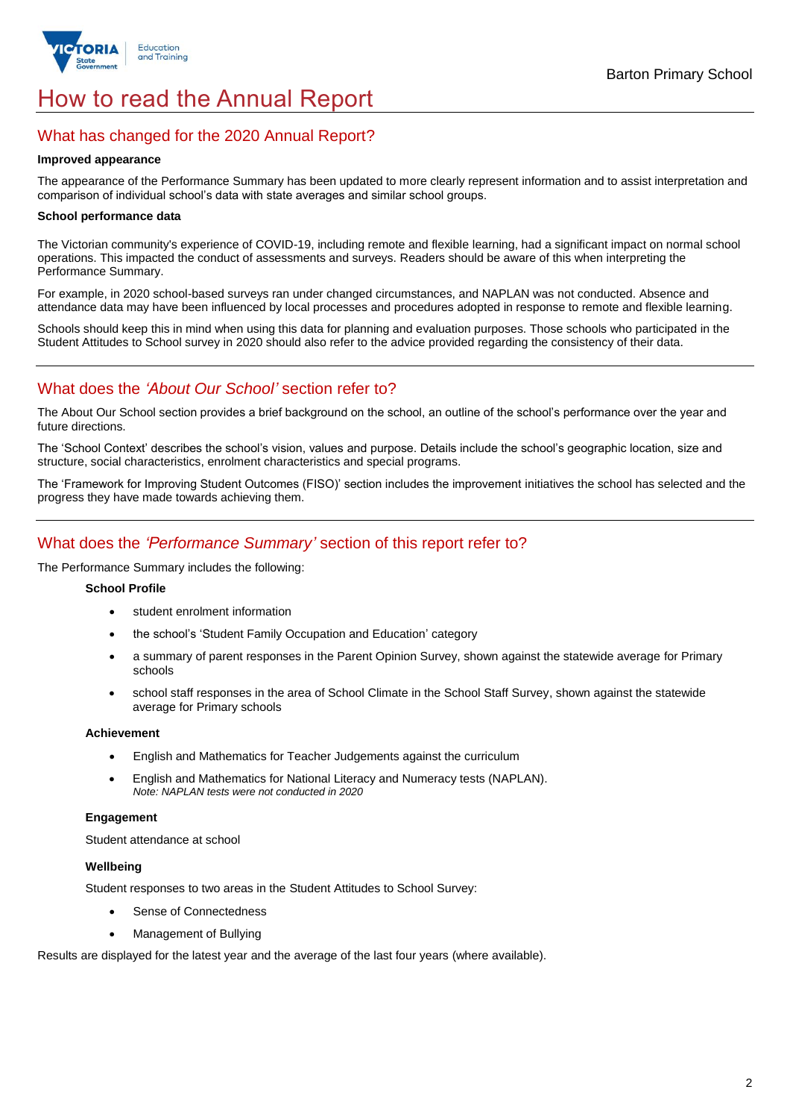

## How to read the Annual Report

## What has changed for the 2020 Annual Report?

#### **Improved appearance**

The appearance of the Performance Summary has been updated to more clearly represent information and to assist interpretation and comparison of individual school's data with state averages and similar school groups.

#### **School performance data**

The Victorian community's experience of COVID-19, including remote and flexible learning, had a significant impact on normal school operations. This impacted the conduct of assessments and surveys. Readers should be aware of this when interpreting the Performance Summary.

For example, in 2020 school-based surveys ran under changed circumstances, and NAPLAN was not conducted. Absence and attendance data may have been influenced by local processes and procedures adopted in response to remote and flexible learning.

Schools should keep this in mind when using this data for planning and evaluation purposes. Those schools who participated in the Student Attitudes to School survey in 2020 should also refer to the advice provided regarding the consistency of their data.

## What does the *'About Our School'* section refer to?

The About Our School section provides a brief background on the school, an outline of the school's performance over the year and future directions.

The 'School Context' describes the school's vision, values and purpose. Details include the school's geographic location, size and structure, social characteristics, enrolment characteristics and special programs.

The 'Framework for Improving Student Outcomes (FISO)' section includes the improvement initiatives the school has selected and the progress they have made towards achieving them.

## What does the *'Performance Summary'* section of this report refer to?

The Performance Summary includes the following:

#### **School Profile**

- student enrolment information
- the school's 'Student Family Occupation and Education' category
- a summary of parent responses in the Parent Opinion Survey, shown against the statewide average for Primary schools
- school staff responses in the area of School Climate in the School Staff Survey, shown against the statewide average for Primary schools

#### **Achievement**

- English and Mathematics for Teacher Judgements against the curriculum
- English and Mathematics for National Literacy and Numeracy tests (NAPLAN). *Note: NAPLAN tests were not conducted in 2020*

#### **Engagement**

Student attendance at school

#### **Wellbeing**

Student responses to two areas in the Student Attitudes to School Survey:

- Sense of Connectedness
- Management of Bullying

Results are displayed for the latest year and the average of the last four years (where available).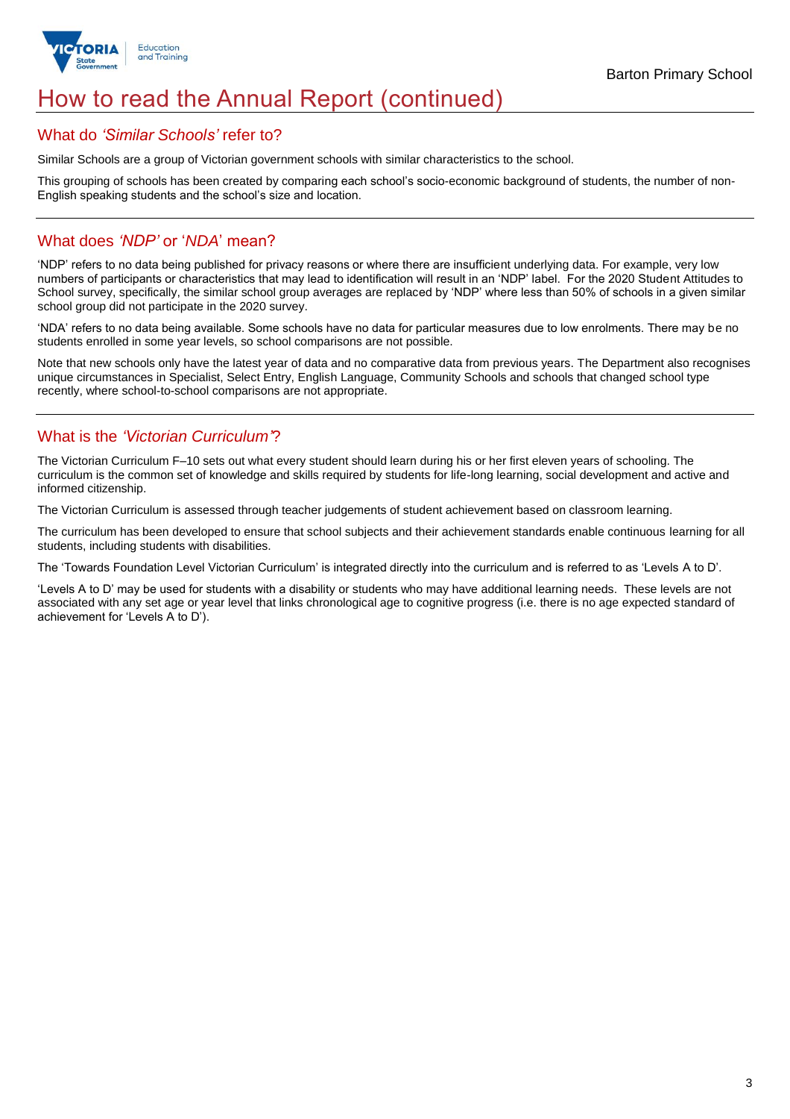

## How to read the Annual Report (continued)

### What do *'Similar Schools'* refer to?

Similar Schools are a group of Victorian government schools with similar characteristics to the school.

This grouping of schools has been created by comparing each school's socio-economic background of students, the number of non-English speaking students and the school's size and location.

## What does *'NDP'* or '*NDA*' mean?

'NDP' refers to no data being published for privacy reasons or where there are insufficient underlying data. For example, very low numbers of participants or characteristics that may lead to identification will result in an 'NDP' label. For the 2020 Student Attitudes to School survey, specifically, the similar school group averages are replaced by 'NDP' where less than 50% of schools in a given similar school group did not participate in the 2020 survey.

'NDA' refers to no data being available. Some schools have no data for particular measures due to low enrolments. There may be no students enrolled in some year levels, so school comparisons are not possible.

Note that new schools only have the latest year of data and no comparative data from previous years. The Department also recognises unique circumstances in Specialist, Select Entry, English Language, Community Schools and schools that changed school type recently, where school-to-school comparisons are not appropriate.

## What is the *'Victorian Curriculum'*?

The Victorian Curriculum F–10 sets out what every student should learn during his or her first eleven years of schooling. The curriculum is the common set of knowledge and skills required by students for life-long learning, social development and active and informed citizenship.

The Victorian Curriculum is assessed through teacher judgements of student achievement based on classroom learning.

The curriculum has been developed to ensure that school subjects and their achievement standards enable continuous learning for all students, including students with disabilities.

The 'Towards Foundation Level Victorian Curriculum' is integrated directly into the curriculum and is referred to as 'Levels A to D'.

'Levels A to D' may be used for students with a disability or students who may have additional learning needs. These levels are not associated with any set age or year level that links chronological age to cognitive progress (i.e. there is no age expected standard of achievement for 'Levels A to D').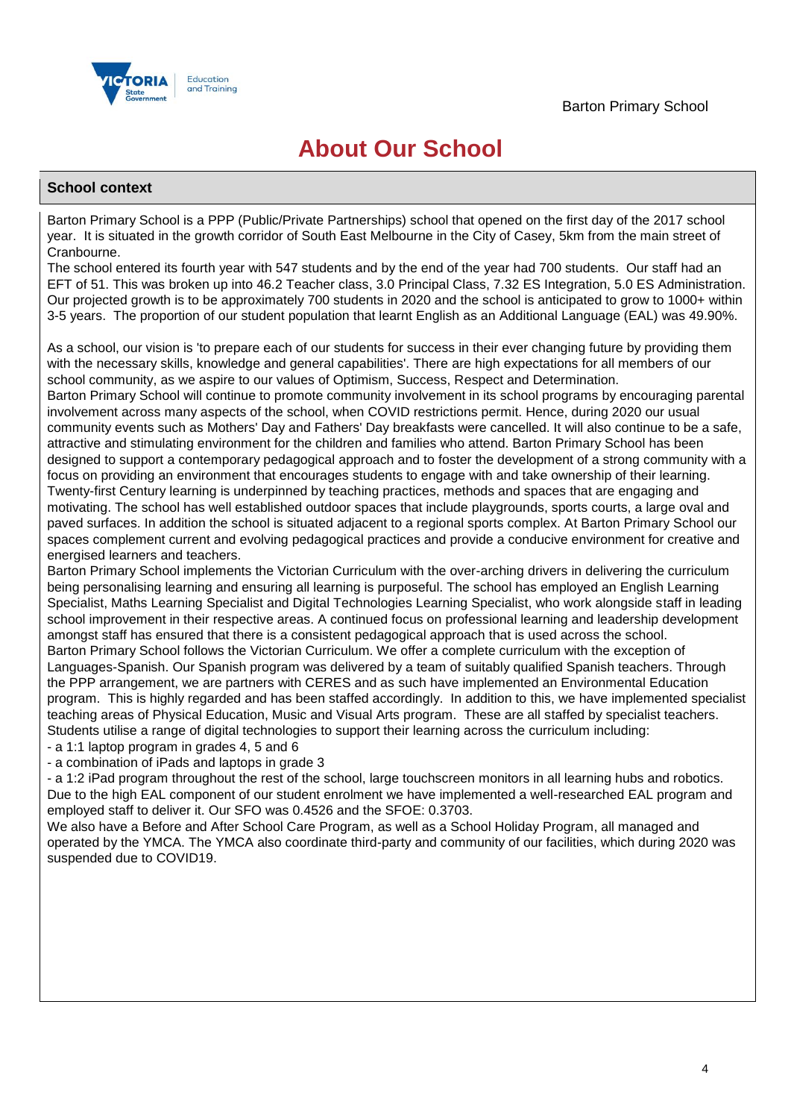

## **About Our School**

### **School context**

Barton Primary School is a PPP (Public/Private Partnerships) school that opened on the first day of the 2017 school year. It is situated in the growth corridor of South East Melbourne in the City of Casey, 5km from the main street of Cranbourne.

The school entered its fourth year with 547 students and by the end of the year had 700 students. Our staff had an EFT of 51. This was broken up into 46.2 Teacher class, 3.0 Principal Class, 7.32 ES Integration, 5.0 ES Administration. Our projected growth is to be approximately 700 students in 2020 and the school is anticipated to grow to 1000+ within 3-5 years. The proportion of our student population that learnt English as an Additional Language (EAL) was 49.90%.

As a school, our vision is 'to prepare each of our students for success in their ever changing future by providing them with the necessary skills, knowledge and general capabilities'. There are high expectations for all members of our school community, as we aspire to our values of Optimism, Success, Respect and Determination.

Barton Primary School will continue to promote community involvement in its school programs by encouraging parental involvement across many aspects of the school, when COVID restrictions permit. Hence, during 2020 our usual community events such as Mothers' Day and Fathers' Day breakfasts were cancelled. It will also continue to be a safe, attractive and stimulating environment for the children and families who attend. Barton Primary School has been designed to support a contemporary pedagogical approach and to foster the development of a strong community with a focus on providing an environment that encourages students to engage with and take ownership of their learning. Twenty-first Century learning is underpinned by teaching practices, methods and spaces that are engaging and motivating. The school has well established outdoor spaces that include playgrounds, sports courts, a large oval and paved surfaces. In addition the school is situated adjacent to a regional sports complex. At Barton Primary School our spaces complement current and evolving pedagogical practices and provide a conducive environment for creative and energised learners and teachers.

Barton Primary School implements the Victorian Curriculum with the over-arching drivers in delivering the curriculum being personalising learning and ensuring all learning is purposeful. The school has employed an English Learning Specialist, Maths Learning Specialist and Digital Technologies Learning Specialist, who work alongside staff in leading school improvement in their respective areas. A continued focus on professional learning and leadership development amongst staff has ensured that there is a consistent pedagogical approach that is used across the school. Barton Primary School follows the Victorian Curriculum. We offer a complete curriculum with the exception of Languages-Spanish. Our Spanish program was delivered by a team of suitably qualified Spanish teachers. Through the PPP arrangement, we are partners with CERES and as such have implemented an Environmental Education program. This is highly regarded and has been staffed accordingly. In addition to this, we have implemented specialist teaching areas of Physical Education, Music and Visual Arts program. These are all staffed by specialist teachers. Students utilise a range of digital technologies to support their learning across the curriculum including: - a 1:1 laptop program in grades 4, 5 and 6

- a combination of iPads and laptops in grade 3

- a 1:2 iPad program throughout the rest of the school, large touchscreen monitors in all learning hubs and robotics. Due to the high EAL component of our student enrolment we have implemented a well-researched EAL program and employed staff to deliver it. Our SFO was 0.4526 and the SFOE: 0.3703.

We also have a Before and After School Care Program, as well as a School Holiday Program, all managed and operated by the YMCA. The YMCA also coordinate third-party and community of our facilities, which during 2020 was suspended due to COVID19.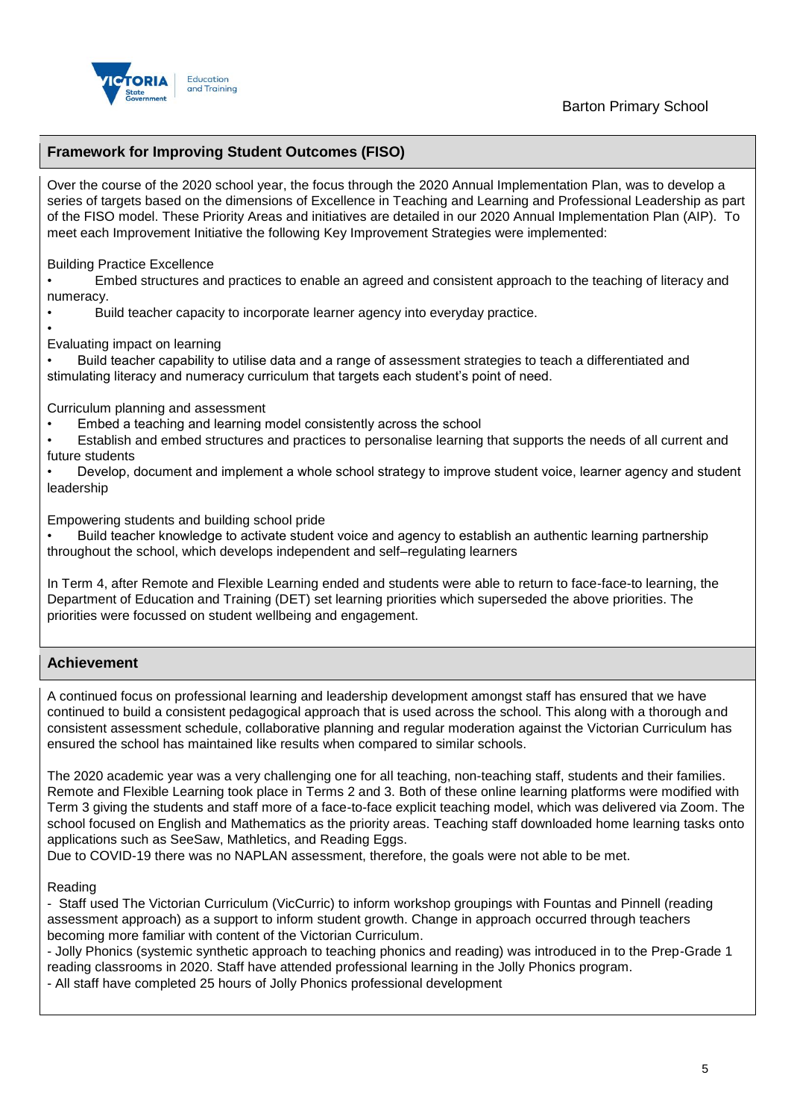

## **Framework for Improving Student Outcomes (FISO)**

Over the course of the 2020 school year, the focus through the 2020 Annual Implementation Plan, was to develop a series of targets based on the dimensions of Excellence in Teaching and Learning and Professional Leadership as part of the FISO model. These Priority Areas and initiatives are detailed in our 2020 Annual Implementation Plan (AIP). To meet each Improvement Initiative the following Key Improvement Strategies were implemented:

Building Practice Excellence

• Embed structures and practices to enable an agreed and consistent approach to the teaching of literacy and numeracy.

• Build teacher capacity to incorporate learner agency into everyday practice.

• Evaluating impact on learning

• Build teacher capability to utilise data and a range of assessment strategies to teach a differentiated and stimulating literacy and numeracy curriculum that targets each student's point of need.

Curriculum planning and assessment

• Embed a teaching and learning model consistently across the school

• Establish and embed structures and practices to personalise learning that supports the needs of all current and future students

• Develop, document and implement a whole school strategy to improve student voice, learner agency and student leadership

Empowering students and building school pride

• Build teacher knowledge to activate student voice and agency to establish an authentic learning partnership throughout the school, which develops independent and self–regulating learners

In Term 4, after Remote and Flexible Learning ended and students were able to return to face-face-to learning, the Department of Education and Training (DET) set learning priorities which superseded the above priorities. The priorities were focussed on student wellbeing and engagement.

## **Achievement**

A continued focus on professional learning and leadership development amongst staff has ensured that we have continued to build a consistent pedagogical approach that is used across the school. This along with a thorough and consistent assessment schedule, collaborative planning and regular moderation against the Victorian Curriculum has ensured the school has maintained like results when compared to similar schools.

The 2020 academic year was a very challenging one for all teaching, non-teaching staff, students and their families. Remote and Flexible Learning took place in Terms 2 and 3. Both of these online learning platforms were modified with Term 3 giving the students and staff more of a face-to-face explicit teaching model, which was delivered via Zoom. The school focused on English and Mathematics as the priority areas. Teaching staff downloaded home learning tasks onto applications such as SeeSaw, Mathletics, and Reading Eggs.

Due to COVID-19 there was no NAPLAN assessment, therefore, the goals were not able to be met.

Reading

- Staff used The Victorian Curriculum (VicCurric) to inform workshop groupings with Fountas and Pinnell (reading assessment approach) as a support to inform student growth. Change in approach occurred through teachers becoming more familiar with content of the Victorian Curriculum.

- Jolly Phonics (systemic synthetic approach to teaching phonics and reading) was introduced in to the Prep-Grade 1 reading classrooms in 2020. Staff have attended professional learning in the Jolly Phonics program.

- All staff have completed 25 hours of Jolly Phonics professional development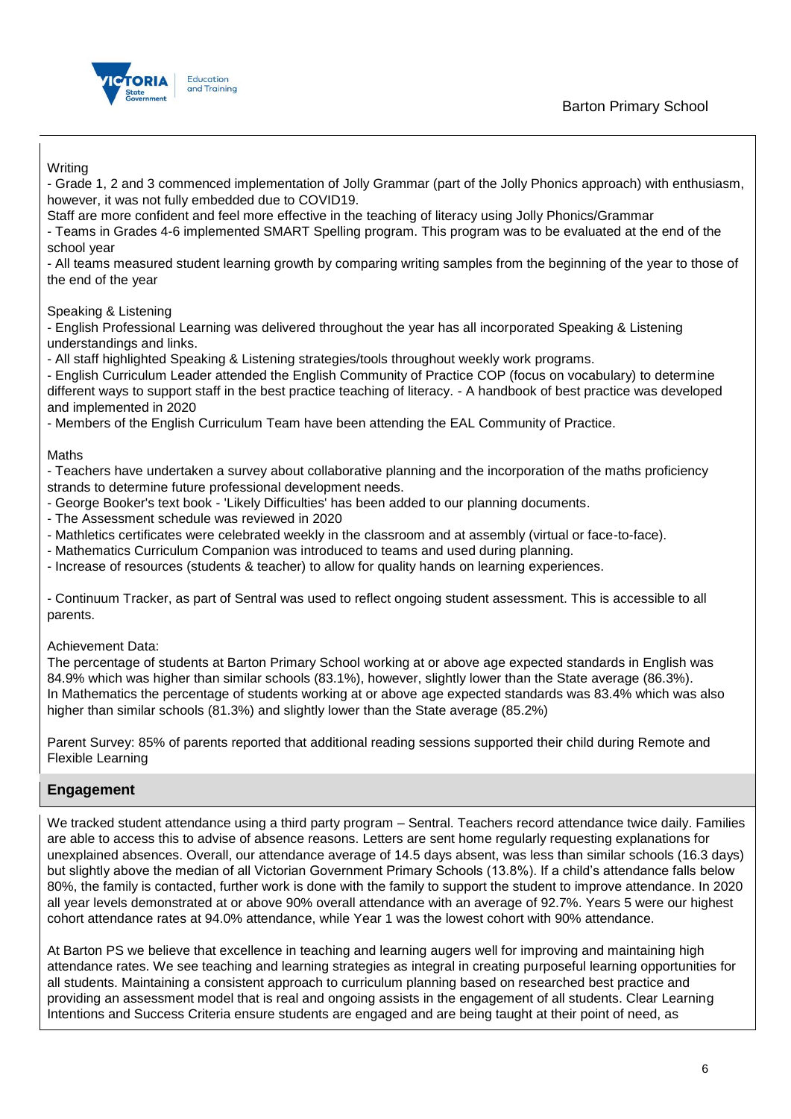## Barton Primary School



### **Writing**

- Grade 1, 2 and 3 commenced implementation of Jolly Grammar (part of the Jolly Phonics approach) with enthusiasm, however, it was not fully embedded due to COVID19.

Staff are more confident and feel more effective in the teaching of literacy using Jolly Phonics/Grammar

- Teams in Grades 4-6 implemented SMART Spelling program. This program was to be evaluated at the end of the school year

- All teams measured student learning growth by comparing writing samples from the beginning of the year to those of the end of the year

Speaking & Listening

- English Professional Learning was delivered throughout the year has all incorporated Speaking & Listening understandings and links.

- All staff highlighted Speaking & Listening strategies/tools throughout weekly work programs.

- English Curriculum Leader attended the English Community of Practice COP (focus on vocabulary) to determine different ways to support staff in the best practice teaching of literacy. - A handbook of best practice was developed and implemented in 2020

- Members of the English Curriculum Team have been attending the EAL Community of Practice.

Maths

- Teachers have undertaken a survey about collaborative planning and the incorporation of the maths proficiency strands to determine future professional development needs.

- George Booker's text book 'Likely Difficulties' has been added to our planning documents.
- The Assessment schedule was reviewed in 2020
- Mathletics certificates were celebrated weekly in the classroom and at assembly (virtual or face-to-face).
- Mathematics Curriculum Companion was introduced to teams and used during planning.

- Increase of resources (students & teacher) to allow for quality hands on learning experiences.

- Continuum Tracker, as part of Sentral was used to reflect ongoing student assessment. This is accessible to all parents.

Achievement Data:

The percentage of students at Barton Primary School working at or above age expected standards in English was 84.9% which was higher than similar schools (83.1%), however, slightly lower than the State average (86.3%). In Mathematics the percentage of students working at or above age expected standards was 83.4% which was also higher than similar schools (81.3%) and slightly lower than the State average (85.2%)

Parent Survey: 85% of parents reported that additional reading sessions supported their child during Remote and Flexible Learning

#### **Engagement**

We tracked student attendance using a third party program – Sentral. Teachers record attendance twice daily. Families are able to access this to advise of absence reasons. Letters are sent home regularly requesting explanations for unexplained absences. Overall, our attendance average of 14.5 days absent, was less than similar schools (16.3 days) but slightly above the median of all Victorian Government Primary Schools (13.8%). If a child's attendance falls below 80%, the family is contacted, further work is done with the family to support the student to improve attendance. In 2020 all year levels demonstrated at or above 90% overall attendance with an average of 92.7%. Years 5 were our highest cohort attendance rates at 94.0% attendance, while Year 1 was the lowest cohort with 90% attendance.

At Barton PS we believe that excellence in teaching and learning augers well for improving and maintaining high attendance rates. We see teaching and learning strategies as integral in creating purposeful learning opportunities for all students. Maintaining a consistent approach to curriculum planning based on researched best practice and providing an assessment model that is real and ongoing assists in the engagement of all students. Clear Learning Intentions and Success Criteria ensure students are engaged and are being taught at their point of need, as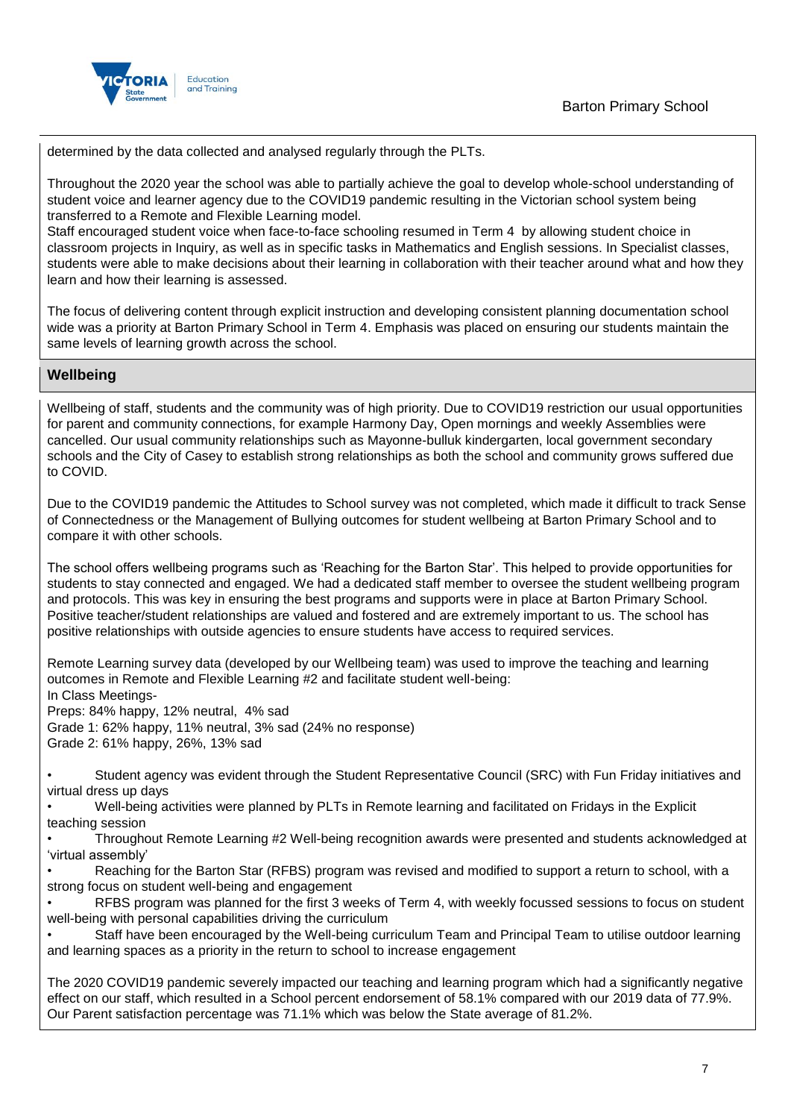

determined by the data collected and analysed regularly through the PLTs.

Throughout the 2020 year the school was able to partially achieve the goal to develop whole-school understanding of student voice and learner agency due to the COVID19 pandemic resulting in the Victorian school system being transferred to a Remote and Flexible Learning model.

Staff encouraged student voice when face-to-face schooling resumed in Term 4 by allowing student choice in classroom projects in Inquiry, as well as in specific tasks in Mathematics and English sessions. In Specialist classes, students were able to make decisions about their learning in collaboration with their teacher around what and how they learn and how their learning is assessed.

The focus of delivering content through explicit instruction and developing consistent planning documentation school wide was a priority at Barton Primary School in Term 4. Emphasis was placed on ensuring our students maintain the same levels of learning growth across the school.

## **Wellbeing**

Wellbeing of staff, students and the community was of high priority. Due to COVID19 restriction our usual opportunities for parent and community connections, for example Harmony Day, Open mornings and weekly Assemblies were cancelled. Our usual community relationships such as Mayonne-bulluk kindergarten, local government secondary schools and the City of Casey to establish strong relationships as both the school and community grows suffered due to COVID.

Due to the COVID19 pandemic the Attitudes to School survey was not completed, which made it difficult to track Sense of Connectedness or the Management of Bullying outcomes for student wellbeing at Barton Primary School and to compare it with other schools.

The school offers wellbeing programs such as 'Reaching for the Barton Star'. This helped to provide opportunities for students to stay connected and engaged. We had a dedicated staff member to oversee the student wellbeing program and protocols. This was key in ensuring the best programs and supports were in place at Barton Primary School. Positive teacher/student relationships are valued and fostered and are extremely important to us. The school has positive relationships with outside agencies to ensure students have access to required services.

Remote Learning survey data (developed by our Wellbeing team) was used to improve the teaching and learning outcomes in Remote and Flexible Learning #2 and facilitate student well-being: In Class Meetings-Preps: 84% happy, 12% neutral, 4% sad

Grade 1: 62% happy, 11% neutral, 3% sad (24% no response)

Grade 2: 61% happy, 26%, 13% sad

• Student agency was evident through the Student Representative Council (SRC) with Fun Friday initiatives and virtual dress up days

• Well-being activities were planned by PLTs in Remote learning and facilitated on Fridays in the Explicit teaching session

• Throughout Remote Learning #2 Well-being recognition awards were presented and students acknowledged at 'virtual assembly'

• Reaching for the Barton Star (RFBS) program was revised and modified to support a return to school, with a strong focus on student well-being and engagement

• RFBS program was planned for the first 3 weeks of Term 4, with weekly focussed sessions to focus on student well-being with personal capabilities driving the curriculum

• Staff have been encouraged by the Well-being curriculum Team and Principal Team to utilise outdoor learning and learning spaces as a priority in the return to school to increase engagement

The 2020 COVID19 pandemic severely impacted our teaching and learning program which had a significantly negative effect on our staff, which resulted in a School percent endorsement of 58.1% compared with our 2019 data of 77.9%. Our Parent satisfaction percentage was 71.1% which was below the State average of 81.2%.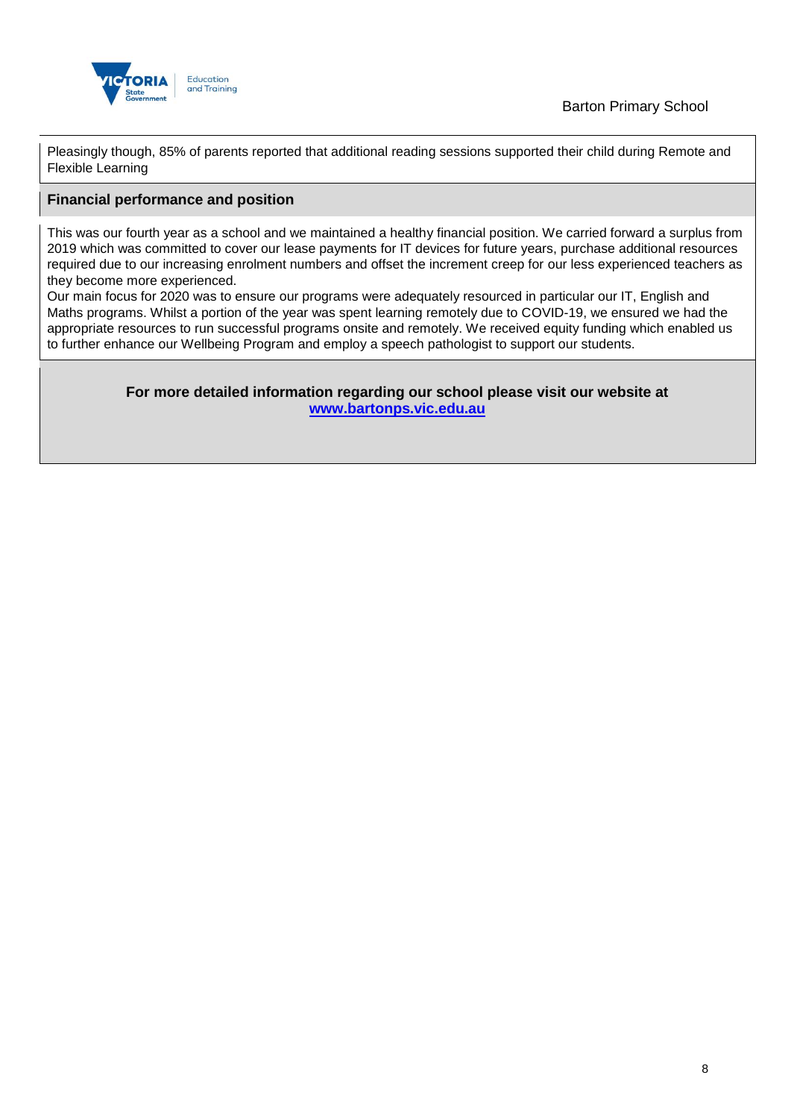

Pleasingly though, 85% of parents reported that additional reading sessions supported their child during Remote and Flexible Learning

### **Financial performance and position**

This was our fourth year as a school and we maintained a healthy financial position. We carried forward a surplus from 2019 which was committed to cover our lease payments for IT devices for future years, purchase additional resources required due to our increasing enrolment numbers and offset the increment creep for our less experienced teachers as they become more experienced.

Our main focus for 2020 was to ensure our programs were adequately resourced in particular our IT, English and Maths programs. Whilst a portion of the year was spent learning remotely due to COVID-19, we ensured we had the appropriate resources to run successful programs onsite and remotely. We received equity funding which enabled us to further enhance our Wellbeing Program and employ a speech pathologist to support our students.

> **For more detailed information regarding our school please visit our website at [www.bartonps.vic.edu.au](file:///C:/Users/02476346/Downloads/www.bartonps.vic.edu.au)**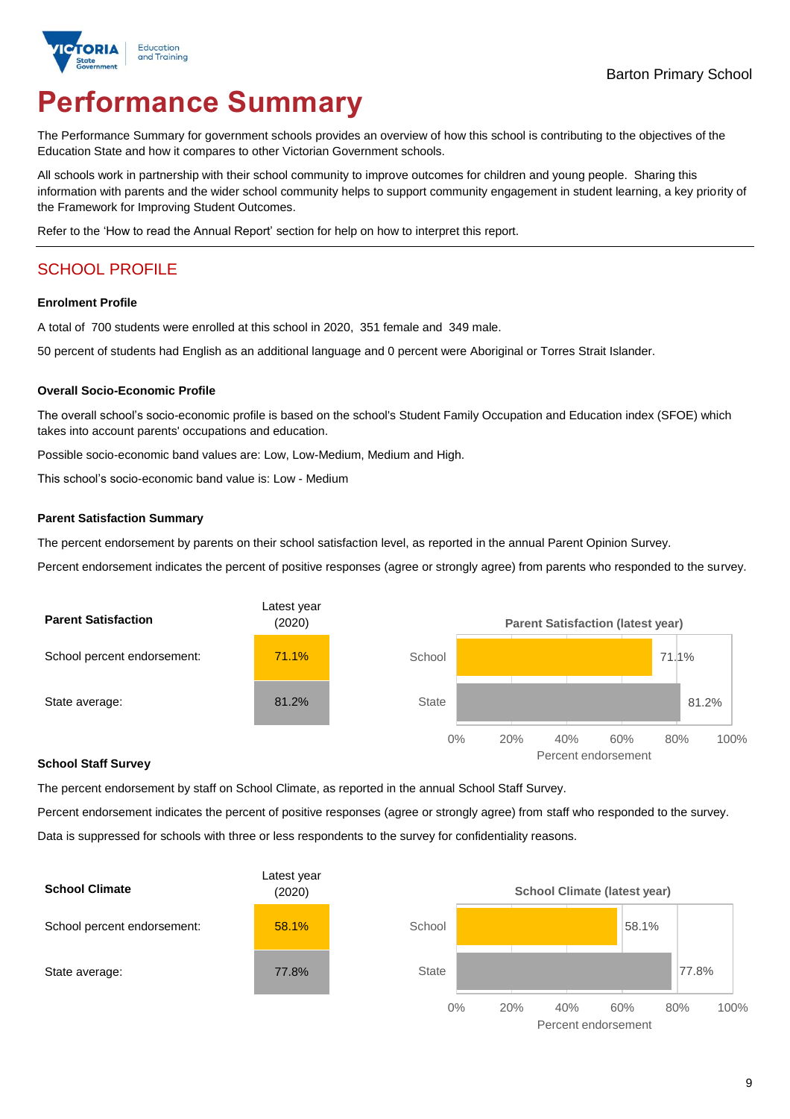

# **Performance Summary**

The Performance Summary for government schools provides an overview of how this school is contributing to the objectives of the Education State and how it compares to other Victorian Government schools.

All schools work in partnership with their school community to improve outcomes for children and young people. Sharing this information with parents and the wider school community helps to support community engagement in student learning, a key priority of the Framework for Improving Student Outcomes.

Refer to the 'How to read the Annual Report' section for help on how to interpret this report.

## SCHOOL PROFILE

#### **Enrolment Profile**

A total of 700 students were enrolled at this school in 2020, 351 female and 349 male.

50 percent of students had English as an additional language and 0 percent were Aboriginal or Torres Strait Islander.

#### **Overall Socio-Economic Profile**

The overall school's socio-economic profile is based on the school's Student Family Occupation and Education index (SFOE) which takes into account parents' occupations and education.

Possible socio-economic band values are: Low, Low-Medium, Medium and High.

This school's socio-economic band value is: Low - Medium

#### **Parent Satisfaction Summary**

The percent endorsement by parents on their school satisfaction level, as reported in the annual Parent Opinion Survey.

Percent endorsement indicates the percent of positive responses (agree or strongly agree) from parents who responded to the survey.



#### **School Staff Survey**

The percent endorsement by staff on School Climate, as reported in the annual School Staff Survey.

Percent endorsement indicates the percent of positive responses (agree or strongly agree) from staff who responded to the survey. Data is suppressed for schools with three or less respondents to the survey for confidentiality reasons.



Percent endorsement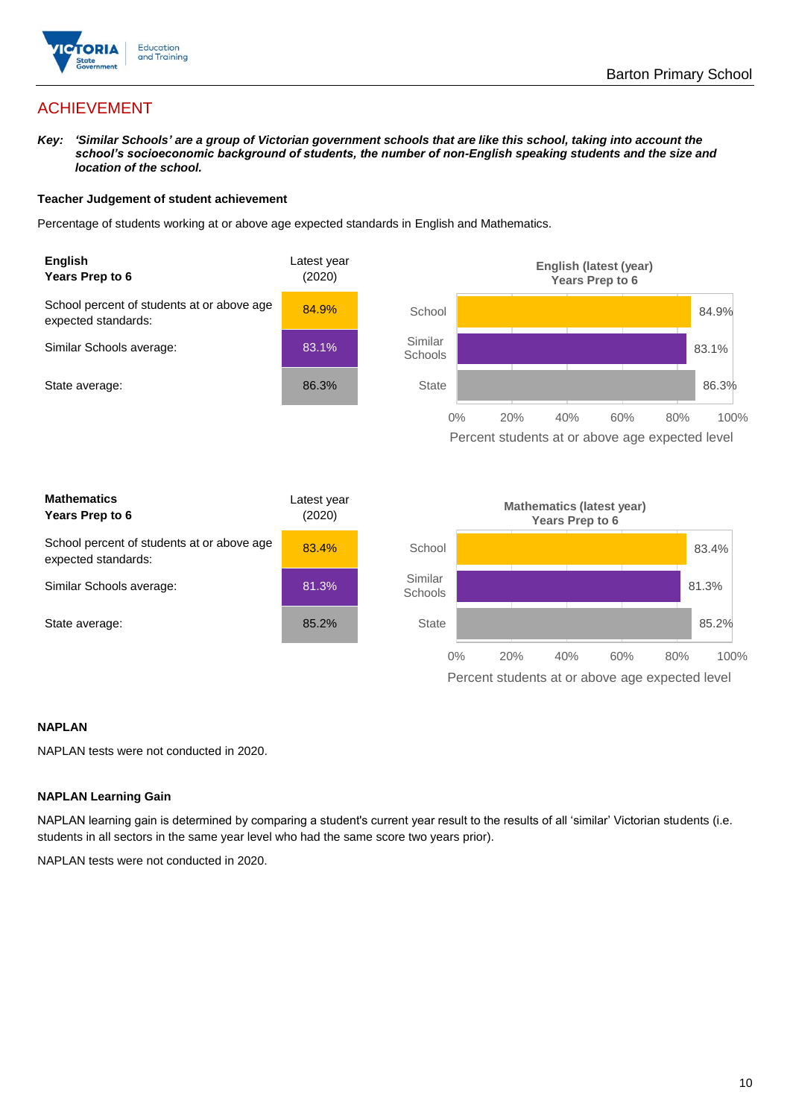

## ACHIEVEMENT

*Key: 'Similar Schools' are a group of Victorian government schools that are like this school, taking into account the school's socioeconomic background of students, the number of non-English speaking students and the size and location of the school.*

#### **Teacher Judgement of student achievement**

Percentage of students working at or above age expected standards in English and Mathematics.



#### **NAPLAN**

NAPLAN tests were not conducted in 2020.

#### **NAPLAN Learning Gain**

NAPLAN learning gain is determined by comparing a student's current year result to the results of all 'similar' Victorian students (i.e. students in all sectors in the same year level who had the same score two years prior).

NAPLAN tests were not conducted in 2020.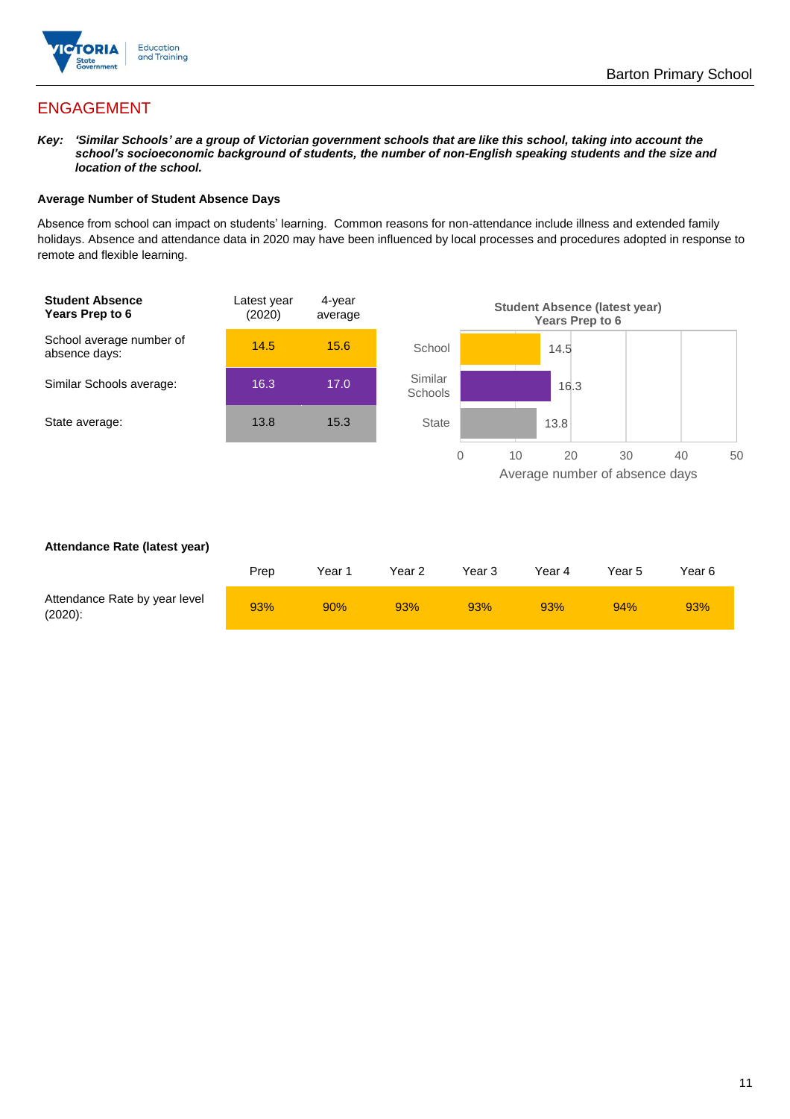

## ENGAGEMENT

*Key: 'Similar Schools' are a group of Victorian government schools that are like this school, taking into account the school's socioeconomic background of students, the number of non-English speaking students and the size and location of the school.*

#### **Average Number of Student Absence Days**

Absence from school can impact on students' learning. Common reasons for non-attendance include illness and extended family holidays. Absence and attendance data in 2020 may have been influenced by local processes and procedures adopted in response to remote and flexible learning.



#### **Attendance Rate (latest year)**

|                                             | Prep | Year 1 | Year 2 | Year 3 | Year 4 | Year 5 | Year 6 |
|---------------------------------------------|------|--------|--------|--------|--------|--------|--------|
| Attendance Rate by year level<br>$(2020)$ : | 93%  | 90%    | 93%    | 93%    | 93%    | 94%    | 93%    |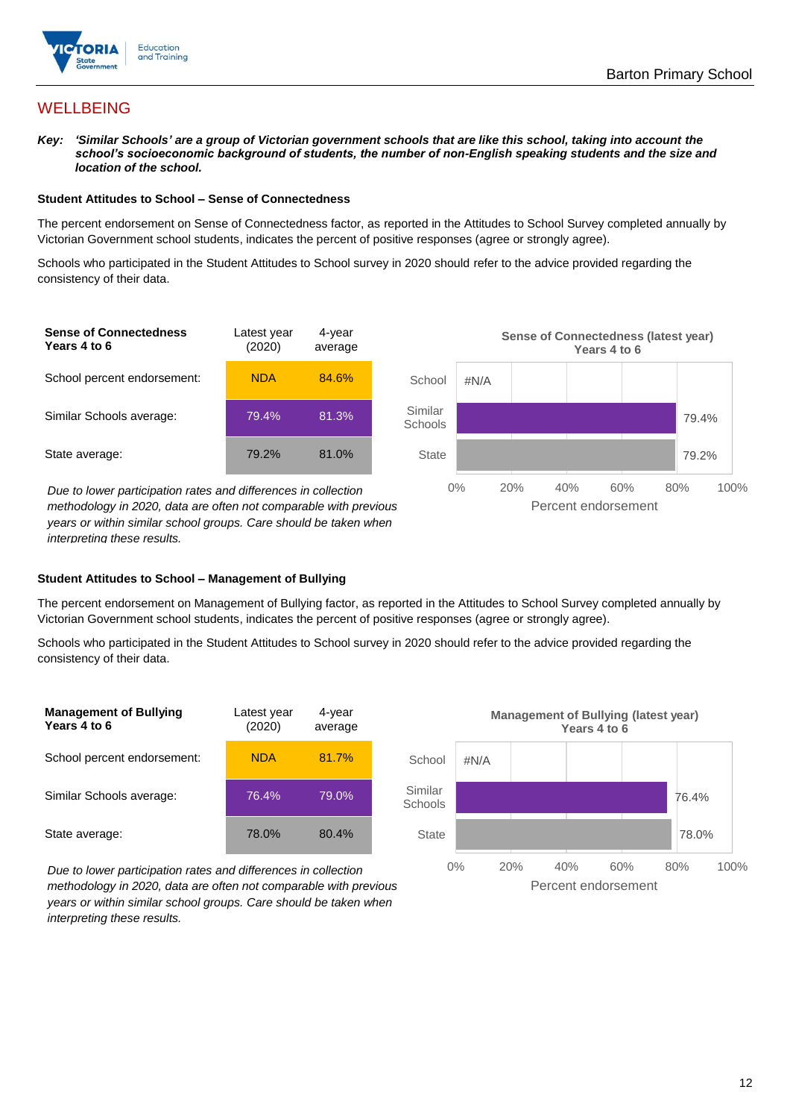

## **WELLBEING**

*Key: 'Similar Schools' are a group of Victorian government schools that are like this school, taking into account the school's socioeconomic background of students, the number of non-English speaking students and the size and location of the school.*

#### **Student Attitudes to School – Sense of Connectedness**

The percent endorsement on Sense of Connectedness factor, as reported in the Attitudes to School Survey completed annually by Victorian Government school students, indicates the percent of positive responses (agree or strongly agree).

Schools who participated in the Student Attitudes to School survey in 2020 should refer to the advice provided regarding the consistency of their data.



*methodology in 2020, data are often not comparable with previous years or within similar school groups. Care should be taken when interpreting these results.*

#### **Student Attitudes to School – Management of Bullying**

The percent endorsement on Management of Bullying factor, as reported in the Attitudes to School Survey completed annually by Victorian Government school students, indicates the percent of positive responses (agree or strongly agree).

Schools who participated in the Student Attitudes to School survey in 2020 should refer to the advice provided regarding the consistency of their data.



*Due to lower participation rates and differences in collection methodology in 2020, data are often not comparable with previous years or within similar school groups. Care should be taken when interpreting these results.*

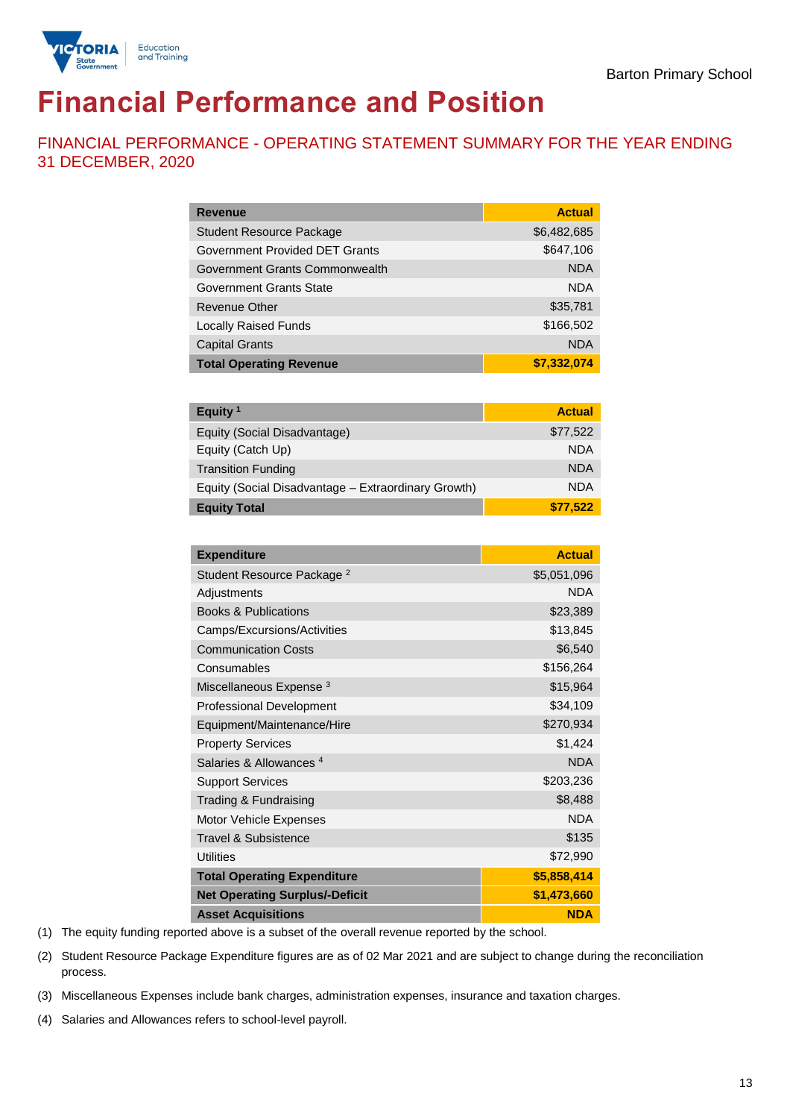

# **Financial Performance and Position**

FINANCIAL PERFORMANCE - OPERATING STATEMENT SUMMARY FOR THE YEAR ENDING 31 DECEMBER, 2020

| <b>Revenue</b>                  | <b>Actual</b> |
|---------------------------------|---------------|
| <b>Student Resource Package</b> | \$6,482,685   |
| Government Provided DET Grants  | \$647,106     |
| Government Grants Commonwealth  | <b>NDA</b>    |
| Government Grants State         | <b>NDA</b>    |
| Revenue Other                   | \$35,781      |
| <b>Locally Raised Funds</b>     | \$166,502     |
| <b>Capital Grants</b>           | <b>NDA</b>    |
| <b>Total Operating Revenue</b>  | \$7,332,074   |

| Equity <sup>1</sup>                                 | <b>Actual</b> |
|-----------------------------------------------------|---------------|
| Equity (Social Disadvantage)                        | \$77,522      |
| Equity (Catch Up)                                   | <b>NDA</b>    |
| <b>Transition Funding</b>                           | <b>NDA</b>    |
| Equity (Social Disadvantage - Extraordinary Growth) | <b>NDA</b>    |
| <b>Equity Total</b>                                 | \$77.522      |

| <b>Expenditure</b>                    | <b>Actual</b> |
|---------------------------------------|---------------|
| Student Resource Package <sup>2</sup> | \$5,051,096   |
| Adjustments                           | <b>NDA</b>    |
| <b>Books &amp; Publications</b>       | \$23,389      |
| Camps/Excursions/Activities           | \$13,845      |
| <b>Communication Costs</b>            | \$6,540       |
| Consumables                           | \$156,264     |
| Miscellaneous Expense <sup>3</sup>    | \$15,964      |
| <b>Professional Development</b>       | \$34,109      |
| Equipment/Maintenance/Hire            | \$270,934     |
| <b>Property Services</b>              | \$1,424       |
| Salaries & Allowances <sup>4</sup>    | <b>NDA</b>    |
| <b>Support Services</b>               | \$203,236     |
| Trading & Fundraising                 | \$8,488       |
| Motor Vehicle Expenses                | <b>NDA</b>    |
| Travel & Subsistence                  | \$135         |
| <b>Utilities</b>                      | \$72,990      |
| <b>Total Operating Expenditure</b>    | \$5,858,414   |
| <b>Net Operating Surplus/-Deficit</b> | \$1,473,660   |
| <b>Asset Acquisitions</b>             | <b>NDA</b>    |

(1) The equity funding reported above is a subset of the overall revenue reported by the school.

(2) Student Resource Package Expenditure figures are as of 02 Mar 2021 and are subject to change during the reconciliation process.

(3) Miscellaneous Expenses include bank charges, administration expenses, insurance and taxation charges.

(4) Salaries and Allowances refers to school-level payroll.